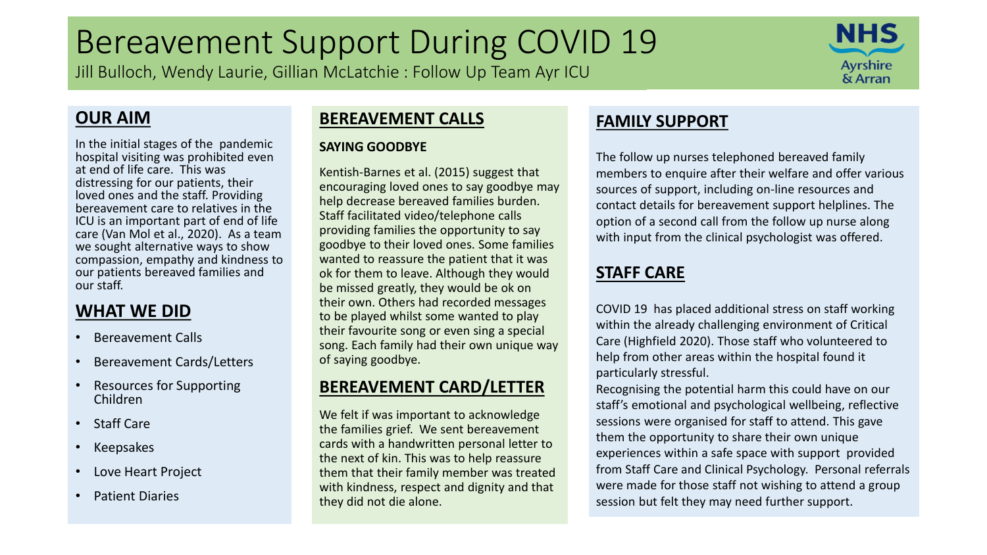# Bereavement Support During COVID 19

Jill Bulloch, Wendy Laurie, Gillian McLatchie : Follow Up Team Ayr ICU



### **OUR AIM**

In the initial stages of the pandemic hospital visiting was prohibited even at end of life care. This was distressing for our patients, their loved ones and the staff. Providing bereavement care to relatives in the ICU is an important part of end of life care (Van Mol et al., 2020). As a team we sought alternative ways to show compassion, empathy and kindness to our patients bereaved families and our staff.

### **WHAT WE DID**

- Bereavement Calls
- Bereavement Cards/Letters
- Resources for Supporting Children
- Staff Care
- Keepsakes
- Love Heart Project
- Patient Diaries

#### **BEREAVEMENT CALLS**

#### **SAYING GOODBYE**

Kentish-Barnes et al. (2015) suggest that encouraging loved ones to say goodbye may help decrease bereaved families burden. Staff facilitated video/telephone calls providing families the opportunity to say goodbye to their loved ones. Some families wanted to reassure the patient that it was ok for them to leave. Although they would be missed greatly, they would be ok on their own. Others had recorded messages to be played whilst some wanted to play their favourite song or even sing a special song. Each family had their own unique way of saying goodbye.

#### **BEREAVEMENT CARD/LETTER**

We felt if was important to acknowledge the families grief. We sent bereavement cards with a handwritten personal letter to the next of kin. This was to help reassure them that their family member was treated with kindness, respect and dignity and that they did not die alone.

### **FAMILY SUPPORT**

The follow up nurses telephoned bereaved family members to enquire after their welfare and offer various sources of support, including on-line resources and contact details for bereavement support helplines. The option of a second call from the follow up nurse along with input from the clinical psychologist was offered.

#### **STAFF CARE**

COVID 19 has placed additional stress on staff working within the already challenging environment of Critical Care (Highfield 2020). Those staff who volunteered to help from other areas within the hospital found it particularly stressful.

Recognising the potential harm this could have on our staff's emotional and psychological wellbeing, reflective sessions were organised for staff to attend. This gave them the opportunity to share their own unique experiences within a safe space with support provided from Staff Care and Clinical Psychology. Personal referrals were made for those staff not wishing to attend a group session but felt they may need further support.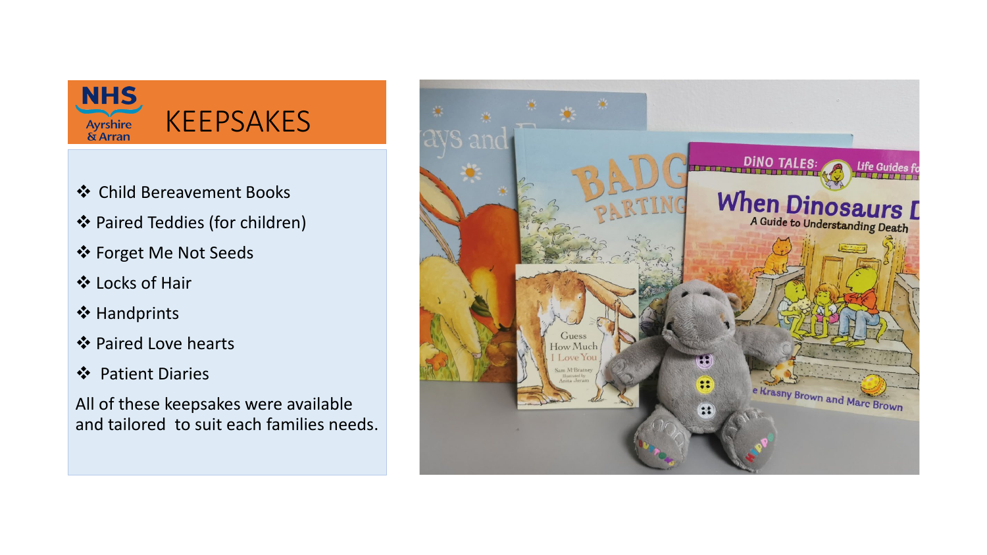

- Child Bereavement Books
- Paired Teddies (for children)
- Forget Me Not Seeds
- Locks of Hair
- **❖ Handprints**
- ❖ Paired Love hearts
- ❖ Patient Diaries

All of these keepsakes were available and tailored to suit each families needs.

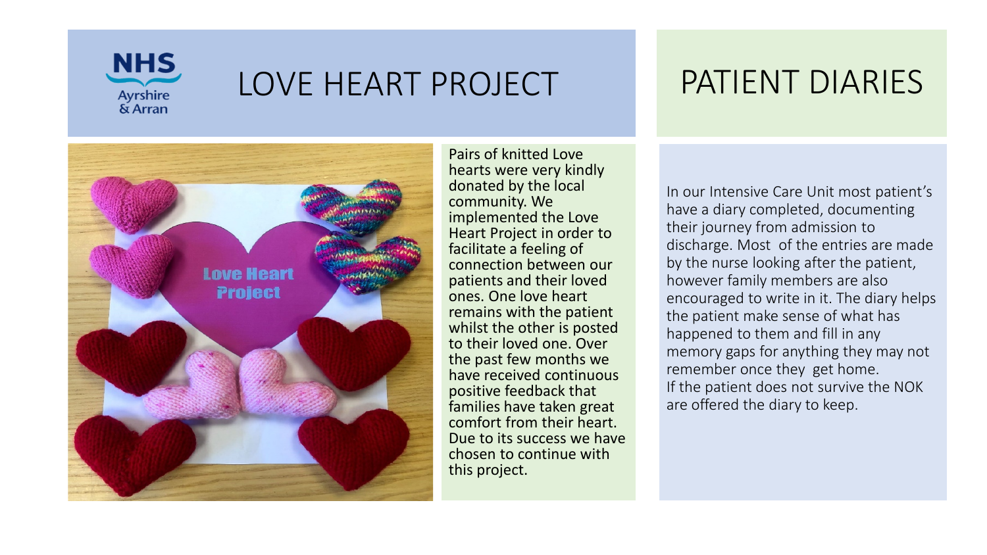

## LOVE HEART PROJECT



Pairs of knitted Love hearts were very kindly donated by the local community. We implemented the Love Heart Project in order to facilitate a feeling of connection between our patients and their loved ones. One love heart remains with the patient whilst the other is posted to their loved one. Over the past few months we have received continuous positive feedback that families have taken great comfort from their heart. Due to its success we have chosen to continue with this project.

## PATIENT DIARIES

In our Intensive Care Unit most patient's have a diary completed, documenting their journey from admission to discharge. Most of the entries are made by the nurse looking after the patient, however family members are also encouraged to write in it. The diary helps the patient make sense of what has happened to them and fill in any memory gaps for anything they may not remember once they get home. If the patient does not survive the NOK are offered the diary to keep.